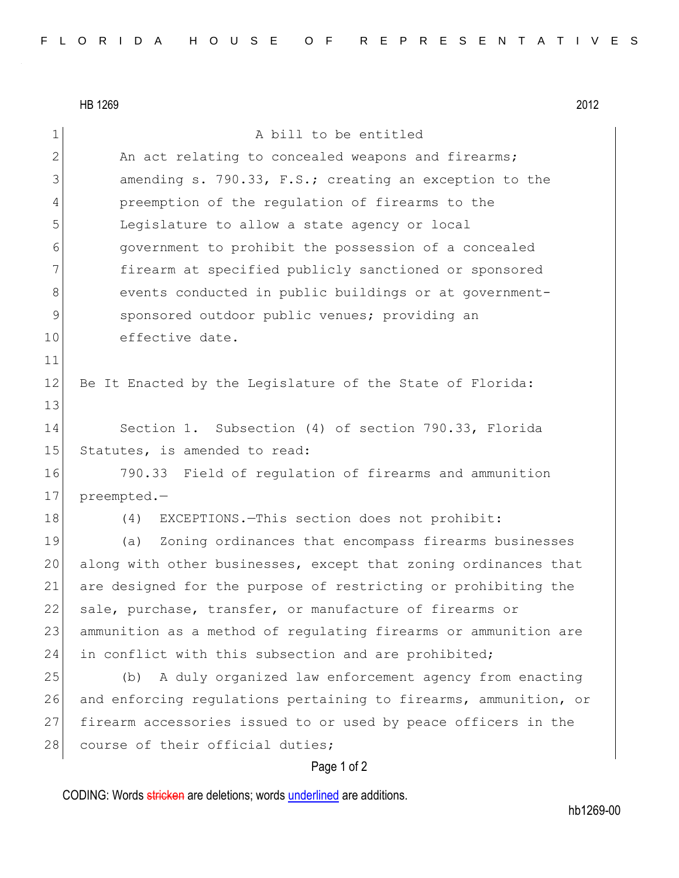|                | HB 1269<br>2012                                                  |
|----------------|------------------------------------------------------------------|
| 1              | A bill to be entitled                                            |
| $\overline{2}$ | An act relating to concealed weapons and firearms;               |
| 3              | amending s. 790.33, F.S.; creating an exception to the           |
| 4              | preemption of the regulation of firearms to the                  |
| 5              | Legislature to allow a state agency or local                     |
| 6              | government to prohibit the possession of a concealed             |
| 7              | firearm at specified publicly sanctioned or sponsored            |
| 8              | events conducted in public buildings or at government-           |
| 9              | sponsored outdoor public venues; providing an                    |
| 10             | effective date.                                                  |
| 11             |                                                                  |
| 12             | Be It Enacted by the Legislature of the State of Florida:        |
| 13             |                                                                  |
| 14             | Section 1. Subsection (4) of section 790.33, Florida             |
| 15             | Statutes, is amended to read:                                    |
| 16             | 790.33 Field of regulation of firearms and ammunition            |
| 17             | preempted.-                                                      |
| 18             | EXCEPTIONS. - This section does not prohibit:<br>(4)             |
| 19             | Zoning ordinances that encompass firearms businesses<br>(a)      |
| 20             | along with other businesses, except that zoning ordinances that  |
| 21             | are designed for the purpose of restricting or prohibiting the   |
| 22             | sale, purchase, transfer, or manufacture of firearms or          |
| 23             | ammunition as a method of regulating firearms or ammunition are  |
| 24             | in conflict with this subsection and are prohibited;             |
| 25             | A duly organized law enforcement agency from enacting<br>(b)     |
| 26             | and enforcing regulations pertaining to firearms, ammunition, or |
| 27             | firearm accessories issued to or used by peace officers in the   |
| 28             | course of their official duties;                                 |
|                | Page 1 of 2                                                      |

CODING: Words stricken are deletions; words underlined are additions.